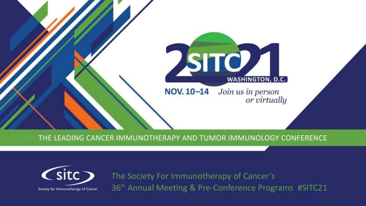

THE LEADING CANCER IMMUNOTHERAPY AND TUMOR IMMUNOLOGY CONFERENCE



The Society For Immunotherapy of Cancer's 36<sup>th</sup> Annual Meeting & Pre-Conference Programs #SITC21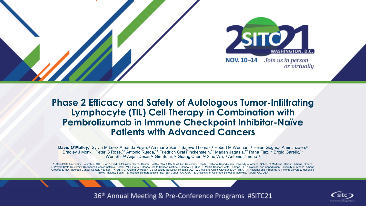

#### **Phase 2 Efficacy and Safety of Autologous Tumor-Infiltrating Lymphocyte (TIL) Cell Therapy in Combination with Pembrolizumab in Immune Checkpoint Inhibitor-Naïve Patients with Advanced Cancers**

**David O'Malley,<sup>1</sup> Sylvia M Lee,<sup>2</sup> Amanda Psyrri,<sup>3</sup> Ammar Sukari,<sup>4</sup> Sajeve Thomas,<sup>5</sup> Robert M Wenham,<sup>6</sup> Helen Gogas,<sup>7</sup> Amir Jazaeri,<sup>8</sup>** Bradley J Monk,<sup>9</sup> Peter G Rose,<sup>10</sup> Antonio Rueda,<sup>11</sup> Friedrich Graf Finckenstein,<sup>12</sup> Madan Jagasia,<sup>12</sup> Rana Fiaz,<sup>12</sup> Brigid Garelik,<sup>12</sup> Wen Shi,<sup>12</sup> Anjali Desai,<sup>12</sup> Giri Sulur,<sup>12</sup> Guang Chen,<sup>12</sup> Xiao Wu,<sup>12</sup> Antonio Jimeno<sup>13</sup>

1. Ohio State University, Columbus, OH, USA; 2. Fred Hutchinson Cancer Center, Seattle, WA, USA; 3. Attikon University Hospital, National Kapodistrian University of Athens, School of Medicine, Haidari, Athens, Greece; 4. Wayne State University, Karmanos Cancer Institute, Detroit, MI, USA; 5. Orlando Health Cancer Institute, Orlando, FL, USA; 6. Moffitt Cancer Center, Tampa, FL; 7. National and Kapodistrian University of Athens, Athens, Greece; 8. MD Anderson Cancer Center, Houston, TX, USA; 9. Arizona Oncology (US Oncology Network), Phoenix, AZ; 10. Cleveland Clinic, Cleveland, OH, USA; 11. Regional and Virgen de la Victoria University Hospitals, IBIMA, Málaga, Spain; 12. Iovance Biotherapeutics, Inc., San Carlos, CA, USA; 13. University of Colorado School of Medicine, Aurora, CO, USA



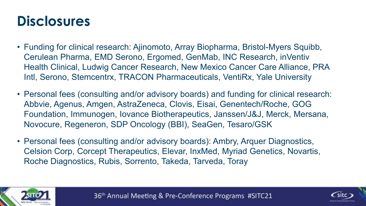### **Disclosures**

- Funding for clinical research: Ajinomoto, Array Biopharma, Bristol-Myers Squibb, Cerulean Pharma, EMD Serono, Ergomed, GenMab, INC Research, inVentiv Health Clinical, Ludwig Cancer Research, New Mexico Cancer Care Alliance, PRA Intl, Serono, Stemcentrx, TRACON Pharmaceuticals, VentiRx, Yale University
- Personal fees (consulting and/or advisory boards) and funding for clinical research: Abbvie, Agenus, Amgen, AstraZeneca, Clovis, Eisai, Genentech/Roche, GOG Foundation, Immunogen, Iovance Biotherapeutics, Janssen/J&J, Merck, Mersana, Novocure, Regeneron, SDP Oncology (BBI), SeaGen, Tesaro/GSK
- Personal fees (consulting and/or advisory boards): Ambry, Arquer Diagnostics, Celsion Corp, Corcept Therapeutics, Elevar, InxMed, Myriad Genetics, Novartis, Roche Diagnostics, Rubis, Sorrento, Takeda, Tarveda, Toray



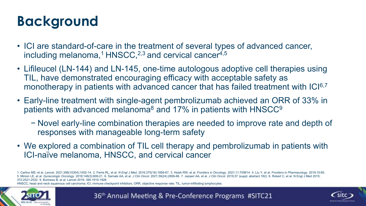# **Background**

- ICI are standard-of-care in the treatment of several types of advanced cancer, including melanoma,<sup>1</sup> HNSCC,<sup>2,3</sup> and cervical cancer<sup>4,5</sup>
- Lifileucel (LN-144) and LN-145, one-time autologous adoptive cell therapies using TIL, have demonstrated encouraging efficacy with acceptable safety as monotherapy in patients with advanced cancer that has failed treatment with ICI6,7
- Early-line treatment with single-agent pembrolizumab achieved an ORR of 33% in patients with advanced melanoma<sup>8</sup> and 17% in patients with HNSCC<sup>9</sup>
	- − Novel early-line combination therapies are needed to improve rate and depth of responses with manageable long-term safety
- We explored a combination of TIL cell therapy and pembrolizumab in patients with ICI-naïve melanoma, HNSCC, and cervical cancer

1. Carlino MS, et al. Lancet. 2021;398(10304):1002-14. 2. Ferris RL, et al. N Engl J Med. 2016;375(19):1856-67. 3. Hsieh RW, et al. Frontiers in Oncology. 2021;11:705614. 4. Liu Y, et al. Frontiers in Pharmacology. 2019;10 5. Minion LE, et al. Gynecologic Oncology. 2018;148(3):609-21. 6. Sarnaik AA, et al. J Clin Oncol. 2021;39(24):2656-66. 7. Jazaeri AA, et al. J Clin Oncol. 2019;37 (suppl; abstract 182). 8. Robert C. et al. N Engl J Med 20 372:2521-2532. 9. Burtness B, et al. Lancet 2019; 394:1915-1928.

HNSCC, head and neck squamous cell carcinoma; ICI, immune checkpoint inhibitors; ORR, objective response rate; TIL, tumor-infiltrating lymphocytes.





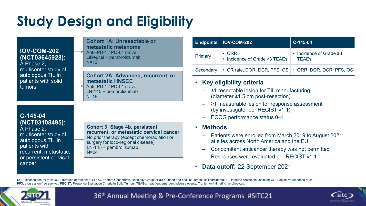# **Study Design and Eligibility**

**IOV-COM-202 (NCT03645928)**: A Phase 2, multicenter study of autologous TIL in

patients with solid tumors

#### **Cohort 1A: Unresectable or metastatic melanoma**  Anti–PD-1 / PD-L1 naïve Lifileucel + pembrolizumab  $N=12$

**Cohort 2A: Advanced, recurrent, or metastatic HNSCC**

Anti–PD-1 / PD-L1 naïve LN-145 + pembrolizumab N=19

#### **C-145-04 (NCT03108495)**:

A Phase 2, multicenter study of autologous TIL in patients with recurrent, metastatic, or persistent cervical cancer

#### **Cohort 3: Stage 4b, persistent, recurrent, or metastatic cervical cancer** No prior therapy (except chemoradiation or surgery for loco-regional disease) LN-145 + pembrolizumab N=24

|         | Endpoints   IOV-COM-202                                             | $C-145-04$                                          |
|---------|---------------------------------------------------------------------|-----------------------------------------------------|
| Primary | $\cdot$ ORR<br>• Incidence of Grade ≥3 TEAEs                        | $\cdot$ Incidence of Grade $\geq$ 3<br><b>TFAFs</b> |
|         | Secondary   • CR rate, DOR, DCR, PFS, OS   • ORR, DOR, DCR, PFS, OS |                                                     |

#### • **Key eligibility criteria**

- ≥1 resectable lesion for TIL manufacturing (diameter ≥1.5 cm post-resection)
- ≥1 measurable lesion for response assessment (by investigator per RECIST v1.1)
- ECOG performance status 0–1
- **Methods**
	- Patients were enrolled from March 2019 to August 2021 at sites across North America and the EU
	- Concomitant anticancer therapy was not permitted
	- Responses were evaluated per RECIST v1.1
- **Data cutoff:** 22 September 2021

DCR, disease control rate; DOR, duration of response; ECOG, Eastern Cooperative Oncology Group; HNSCC, head and neck squamous cell carcinoma; ICI, immune checkpoint inhibitor; ORR, objective response rate; PFS, progression-free survival; RECIST, Response Evaluation Criteria in Solid Tumors; TEAEs, treatment-emergent adverse events; TIL, tumor-infiltrating lymphocytes.



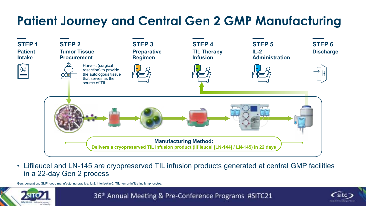#### **Patient Journey and Central Gen 2 GMP Manufacturing**



• Lifileucel and LN-145 are cryopreserved TIL infusion products generated at central GMP facilities in a 22-day Gen 2 process

Gen, generation; GMP, good manufacturing practice; IL-2, interleukin-2; TIL, tumor-infiltrating lymphocytes.



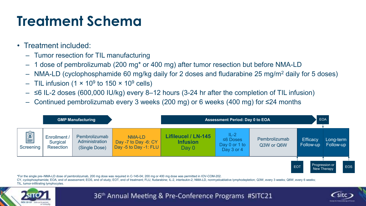# **Treatment Schema**

- Treatment included:
	- Tumor resection for TIL manufacturing
	- 1 dose of pembrolizumab (200 mg\* or 400 mg) after tumor resection but before NMA-LD
	- NMA-LD (cyclophosphamide 60 mg/kg daily for 2 doses and fludarabine 25 mg/m<sup>2</sup> daily for 5 doses)
	- $-$  TIL infusion (1 × 10º to 150 × 10º cells)
	- $-$  ≤6 IL-2 doses (600,000 IU/kg) every 8–12 hours (3-24 hr after the completion of TIL infusion)
	- Continued pembrolizumab every 3 weeks (200 mg) or 6 weeks (400 mg) for ≤24 months



\*For the single pre–NMA-LD dose of pembrolizumab, 200 mg dose was required in C-145-04; 200 mg or 400 mg dose was permitted in IOV-COM-202.

CY, cyclophosphamide; EOA, end of assessment; EOS, end of study; EOT, end of treatment; FLU, fludarabine; IL-2, interleukin-2; NMA-LD, nonmyeloablative lymphodepletion; Q3W, every 3 weeks; Q6W, every 6 weeks; TIL, tumor-infiltrating lymphocytes.



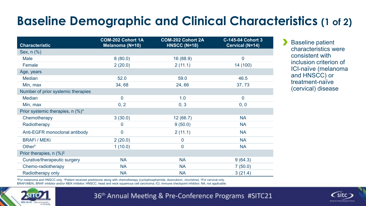#### **Baseline Demographic and Clinical Characteristics (1 of 2)**

| <b>Characteristic</b>                 | <b>COM-202 Cohort 1A</b><br>Melanoma (N=10) | <b>COM-202 Cohort 2A</b><br><b>HNSCC (N=18)</b> | <b>C-145-04 Cohort 3</b><br>Cervical (N=14) |
|---------------------------------------|---------------------------------------------|-------------------------------------------------|---------------------------------------------|
|                                       |                                             |                                                 |                                             |
| Sex, n (%)                            |                                             |                                                 |                                             |
| Male                                  | 8(80.0)                                     | 16 (88.9)                                       | $\boldsymbol{0}$                            |
| Female                                | 2(20.0)                                     | 2(11.1)                                         | 14 (100)                                    |
| Age, years                            |                                             |                                                 |                                             |
| <b>Median</b>                         | 52.0                                        | 59.0                                            | 46.5                                        |
| Min, max                              | 34,68                                       | 24,66                                           | 37,73                                       |
| Number of prior systemic therapies    |                                             |                                                 |                                             |
| <b>Median</b>                         | $\overline{0}$                              | 1.0                                             | $\overline{0}$                              |
| Min, max                              | 0, 2                                        | 0, 3                                            | 0, 0                                        |
| Prior systemic therapies, n (%)*      |                                             |                                                 |                                             |
| Chemotherapy                          | 3(30.0)                                     | 12(66.7)                                        | <b>NA</b>                                   |
| Radiotherapy                          | $\boldsymbol{0}$                            | 9(50.0)                                         | <b>NA</b>                                   |
| Anti-EGFR monoclonal antibody         | $\mathbf 0$                                 | 2(11.1)                                         | <b>NA</b>                                   |
| <b>BRAFi / MEKi</b>                   | 2(20.0)                                     | $\boldsymbol{0}$                                | <b>NA</b>                                   |
| Other <sup>†</sup>                    | 1(10.0)                                     | $\mathbf 0$                                     | <b>NA</b>                                   |
| Prior therapies, $n$ (%) <sup>‡</sup> |                                             |                                                 |                                             |
| Curative/therapeutic surgery          | <b>NA</b>                                   | <b>NA</b>                                       | 9(64.3)                                     |
| Chemo-radiotherapy                    | <b>NA</b>                                   | <b>NA</b>                                       | 7(50.0)                                     |
| Radiotherapy only                     | <b>NA</b>                                   | <b>NA</b>                                       | 3(21.4)                                     |

\*For melanoma and HNSCC only. †Patient received prednisone along with chemotherapy (cyclophosphamide, doxorubicin, vincristine). ‡For cervical only. BRAFi/MEKi, BRAF inhibitor and/or MEK inhibitor; HNSCC, head and neck squamous cell carcinoma; ICI, immune checkpoint inhibitor; NA, not applicable.



36th Annual Meeting & Pre-Conference Programs #SITC21



**Baseline patient** characteristics were consistent with inclusion criterion of ICI-naïve (melanoma and HNSCC) or treatment-naïve (cervical) disease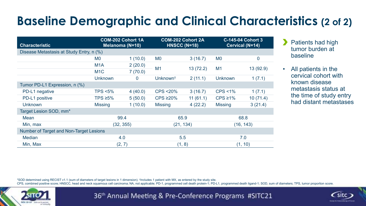#### **Baseline Demographic and Clinical Characteristics (2 of 2)**

| <b>Characteristic</b>                          | <b>COM-202 Cohort 1A</b><br>Melanoma (N=10) |                |                      | <b>COM-202 Cohort 2A</b><br><b>HNSCC (N=18)</b> | <b>C-145-04 Cohort 3</b><br>Cervical (N=14) |             |  |
|------------------------------------------------|---------------------------------------------|----------------|----------------------|-------------------------------------------------|---------------------------------------------|-------------|--|
| Disease Metastasis at Study Entry, n (%)       |                                             |                |                      |                                                 |                                             |             |  |
|                                                | M <sub>0</sub>                              | 1(10.0)        | M <sub>0</sub>       | 3(16.7)                                         | M <sub>0</sub>                              | $\mathbf 0$ |  |
|                                                | M <sub>1</sub> A                            | 2(20.0)        |                      | 13(72.2)                                        | M1                                          |             |  |
|                                                | M <sub>1</sub> C                            | 7(70.0)        | M1                   |                                                 |                                             | 13 (92.9)   |  |
|                                                | <b>Unknown</b>                              | $\overline{0}$ | Unknown <sup>†</sup> | 2(11.1)                                         | <b>Unknown</b>                              | 1(7.1)      |  |
| Tumor PD-L1 Expression, n (%)                  |                                             |                |                      |                                                 |                                             |             |  |
| PD-L1 negative                                 | <b>TPS &lt;5%</b>                           | 4(40.0)        | <b>CPS &lt;20%</b>   | 3(16.7)                                         | $CPS < 1\%$                                 | 1(7.1)      |  |
| PD-L1 positive                                 | TPS $\geq$ 5%                               | 5(50.0)        | $CPS \geq 20\%$      | 11(61.1)                                        | $CPS \ge 1\%$                               | 10(71.4)    |  |
| <b>Unknown</b>                                 | <b>Missing</b>                              | 1(10.0)        | <b>Missing</b>       | 4(22.2)                                         | <b>Missing</b>                              | 3(21.4)     |  |
| Target Lesion SOD, mm*                         |                                             |                |                      |                                                 |                                             |             |  |
| <b>Mean</b>                                    | 99.4                                        |                | 65.9                 |                                                 | 68.8                                        |             |  |
| Min, max                                       | (32, 355)                                   |                | (21, 134)            |                                                 | (16, 143)                                   |             |  |
| <b>Number of Target and Non-Target Lesions</b> |                                             |                |                      |                                                 |                                             |             |  |
| <b>Median</b>                                  | 4.0                                         |                | 5.5                  |                                                 | 7.0                                         |             |  |
| Min, Max                                       | (2, 7)                                      |                | (1, 8)               |                                                 | (1, 10)                                     |             |  |

Patients had high tumor burden at baseline

• All patients in the cervical cohort with known disease metastasis status at the time of study entry had distant metastases

\*SOD determined using RECIST v1.1 (sum of diameters of target lesions in 1 dimension). † Includes 1 patient with MX, as entered by the study site.

CPS, combined positive score; HNSCC, head and neck squamous cell carcinoma; NA, not applicable; PD-1, programmed cell death protein-1; PD-L1, programmed death ligand-1; SOD, sum of diameters; TPS, tumor proportion score.



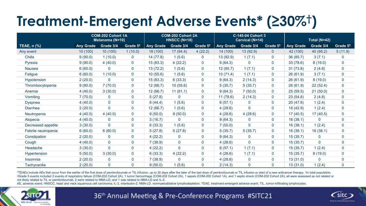# **Treatment-Emergent Adverse Events\* (≥30%† )**

|                            | <b>COM-202 Cohort 1A</b><br>Melanoma (N=10) |                | <b>COM-202 Cohort 2A</b><br><b>HNSCC (N=18)</b> |                  | C-145-04 Cohort 3<br><b>Cervical (N=14)</b> |                      |           | Total (N=42)   |                      |                  |              |                      |
|----------------------------|---------------------------------------------|----------------|-------------------------------------------------|------------------|---------------------------------------------|----------------------|-----------|----------------|----------------------|------------------|--------------|----------------------|
| TEAE, $n$ $\overline{(*)}$ | <b>Any Grade</b>                            | Grade 3/4      | Grade 5 <sup>‡</sup>                            | <b>Any Grade</b> | Grade 3/4                                   | Grade 5 <sup>‡</sup> | Any Grade | Grade 3/4      | Grade 5 <sup>‡</sup> | <b>Any Grade</b> | Grade 3/4    | Grade 5 <sup>‡</sup> |
| Any event                  | 10(100)                                     | 10(100)        | 1(10.0)                                         | 18 (100)         | 17(94.4)                                    | 4(22.2)              | 14 (100)  | 13 (92.9)      | $\mathbf{0}$         | 42 (100)         | 40 (95.2)    | 5(11.9)              |
| <b>Chills</b>              | 9(90.0)                                     | 1(10.0)        | $\mathbf 0$                                     | 14(77.8)         | 1(5.6)                                      | $\mathbf{0}$         | 13 (92.9) | 1(7.1)         | $\mathbf 0$          | 36 (85.7)        | 3(7.1)       | 0                    |
| Pyrexia                    | 9(90.0)                                     | 4(40.0)        | $\mathbf 0$                                     | 15(83.3)         | 4(22.2)                                     | $\overline{0}$       | 9(64.3)   | $\mathbf{0}$   | $\mathbf 0$          | 33 (78.6)        | 8(19.0)      | 0                    |
| <b>Nausea</b>              | 6(60.0)                                     | 0              | $\mathbf 0$                                     | 13(72.2)         | 1(5.6)                                      | $\overline{0}$       | 12(85.7)  | 1(7.1)         | $\mathbf 0$          | 31(73.8)         | 2(4.8)       | $\overline{0}$       |
| Fatigue                    | 6(60.0)                                     | 1(10.0)        | $\mathbf 0$                                     | 10(55.6)         | 1(5.6)                                      | $\overline{0}$       | 10(71.4)  | 1(7.1)         | $\pmb{0}$            | 26(61.9)         | 3(7.1)       | $\pmb{0}$            |
| Hypotension                | 2(20.0)                                     | 0              | $\mathbf 0$                                     | 15(83.3)         | 6(33.3)                                     | $\overline{0}$       | 9(64.3)   | 2(14.3)        | $\mathbf 0$          | 26(61.9)         | 8(19.0)      | $\overline{0}$       |
| Thrombocytopenia           | 9(90.0)                                     | 7(70.0)        | $\mathbf 0$                                     | 12(66.7)         | 10(55.6)                                    | $\mathbf{0}$         | 5(35.7)   | 5(35.7)        | $\mathbf 0$          | 26(61.9)         | 22(52.4)     | 0                    |
| Anemia                     | 4(40.0)                                     | 3(30.0)        | $\mathbf 0$                                     | 12(66.7)         | 11(61.1)                                    | $\overline{0}$       | 9(64.3)   | 7(50.0)        | $\mathbf 0$          | 25(59.5)         | 21(50.0)     | $\mathbf 0$          |
| Vomiting                   | 7(70.0)                                     | $\mathbf{0}$   | $\mathbf{0}$                                    | 5(27.8)          | $\mathbf{0}$                                | $\mathbf{0}$         | 11(78.6)  | 2(14.3)        | $\pmb{0}$            | 23(54.8)         | 2(4.8)       | 0                    |
| <b>Dyspnea</b>             | 4(40.0)                                     | $\mathbf 0$    | $\mathbf 0$                                     | 8(44.4)          | 1(5.6)                                      | $\overline{0}$       | 8(57.1)   | $\mathbf{0}$   | $\mathbf 0$          | 20(47.6)         | 1(2.4)       | 0                    |
| <b>Diarrhea</b>            | 2(20.0)                                     | $\mathbf 0$    | $\mathbf 0$                                     | 12(66.7)         | 1(5.6)                                      | $\overline{0}$       | 4(28.6)   | $\mathbf 0$    | $\mathbf 0$          | 18 (42.9)        | 1(2.4)       | 0                    |
| Neutropenia                | 4(40.0)                                     | 4(40.0)        | $\mathbf 0$                                     | 9(50.0)          | 9(50.0)                                     | $\overline{0}$       | 4(28.6)   | 4(28.6)        | $\mathbf 0$          | 17(40.5)         | 17(40.5)     | $\pmb{0}$            |
| Alopecia                   | 4(40.0)                                     | $\mathbf 0$    | $\mathbf 0$                                     | 3(16.7)          | $\mathbf{0}$                                | $\mathbf{0}$         | 9(64.3)   | $\mathbf 0$    | $\mathbf 0$          | 16(38.1)         | $\mathbf{0}$ | 0                    |
| Decreased appetite         | 3(30.0)                                     | $\overline{0}$ | $\mathbf 0$                                     | 6(33.3)          | 1(5.6)                                      | $\mathbf{0}$         | 7(50.0)   | $\overline{0}$ | $\mathbf 0$          | 16(38.1)         | 1(2.4)       | 0                    |
| Febrile neutropenia        | 6(60.0)                                     | 6(60.0)        | $\mathbf 0$                                     | 5(27.8)          | 5(27.8)                                     | $\overline{0}$       | 5(35.7)   | 5(35.7)        | $\mathbf 0$          | 16(38.1)         | 16(38.1)     | 0                    |
| Constipation               | 2(20.0)                                     | $\mathbf 0$    | $\mathbf 0$                                     | 4(22.2)          | 0                                           | $\mathbf{0}$         | 9(64.3)   | $\mathbf{0}$   | $\mathbf 0$          | 15(35.7)         | $\Omega$     | 0                    |
| Cough                      | 4(40.0)                                     | $\mathbf 0$    | $\mathbf 0$                                     | 7(38.9)          | $\mathbf 0$                                 | 0                    | 4(28.6)   | $\overline{0}$ | $\mathbf 0$          | 15(35.7)         | $\Omega$     | 0                    |
| Headache                   | 3(30.0)                                     | $\overline{0}$ | $\mathbf 0$                                     | 4(22.2)          | $\overline{0}$                              | $\mathbf 0$          | 8(57.1)   | 1(7.1)         | $\mathbf 0$          | 15(35.7)         | 1(2.4)       | $\overline{0}$       |
| Hypertension               | 5(50.0)                                     | 3(30.0)        | $\mathbf 0$                                     | 6(33.3)          | 4(22.2)                                     | $\overline{0}$       | 4(28.6)   | 1(7.1)         | $\mathbf 0$          | 15(35.7)         | 8(19.0)      | $\pmb{0}$            |
| Insomnia                   | 2(20.0)                                     | $\mathbf 0$    | $\mathbf 0$                                     | 7(38.9)          | $\mathbf{0}$                                | 0                    | 4(28.6)   | $\mathbf 0$    | $\pmb{0}$            | 13(31.0)         | $\mathbf{0}$ | $\overline{0}$       |
| Tachycardia                | 2(20.0)                                     | 0              | $\mathbf 0$                                     | 9(50.0)          | 1(5.6)                                      | $\mathbf{0}$         | 2(14.3)   | $\mathbf 0$    | $\mathbf 0$          | 13(31.0)         | 1(2.4)       | 0                    |

\*TEAEs include AEs that occur from the earlier of the first dose of pembrolizumab or TIL infusion, up to 30 days after the later of the last dose of pembrolizumab or TIL infusion or start of a new anticancer therapy. <sup>†</sup>In ‡Grade 5 events included 2 events of respiratory failure (COM-202 Cohort 2A), 1 tumor hemorrhage (COM-202 Cohort 2A), 1 sepsis (COM-202 Cohort 1A), and 1 septic shock (COM-202 Cohort 2A); all were assessed as not related or not likely related to TIL or pembrolizumab, 2 were related to NMA-LD, and 1 was related to NMA-LD and IL-2.

AE, adverse event; HNSCC, head and neck squamous cell carcinoma; IL-2, interleukin-2; NMA-LD, nonmyeloablative lymphodepletion; TEAE, treatment-emergent adverse event; TIL, tumor-infiltrating lymphocytes.



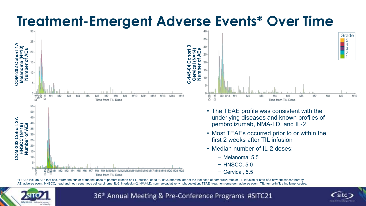### **Treatment-Emergent Adverse Events\* Over Time**



\*TEAEs include AEs that occur from the earlier of the first dose of pembrolizumab or TIL infusion, up to 30 days after the later of the last dose of pembrolizumab or TIL infusion or start of a new anticancer therapy. AE, adverse event; HNSCC, head and neck squamous cell carcinoma; IL-2, interleukin-2; NMA-LD, nonmyeloablative lymphodepletion; TEAE, treatment-emergent adverse event; TIL, tumor-infiltrating lymphocytes.



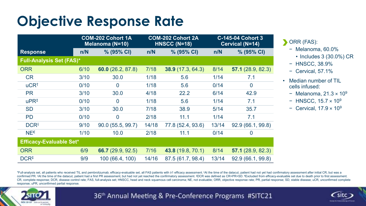### **Objective Response Rate**

|                                 |      | <b>COM-202 Cohort 1A</b><br><b>Melanoma (N=10)</b> |       | <b>COM-202 Cohort 2A</b><br>HNSCC (N=18) | <b>C-145-04 Cohort 3</b><br><b>Cervical (N=14)</b> |                     |  |
|---------------------------------|------|----------------------------------------------------|-------|------------------------------------------|----------------------------------------------------|---------------------|--|
| <b>Response</b>                 | n/N  | % (95% CI)                                         | n/N   | % (95% CI)                               | n/N                                                | % (95% CI)          |  |
| <b>Full-Analysis Set (FAS)*</b> |      |                                                    |       |                                          |                                                    |                     |  |
| <b>ORR</b>                      | 6/10 | 60.0(26.2, 87.8)                                   | 7/18  | 38.9(17.3, 64.3)                         | 8/14                                               | 57.1 $(28.9, 82.3)$ |  |
| <b>CR</b>                       | 3/10 | 30.0                                               | 1/18  | 5.6                                      | 1/14                                               | 7.1                 |  |
| $uCR†$                          | 0/10 | $\overline{0}$                                     | 1/18  | 5.6                                      | 0/14                                               | $\overline{0}$      |  |
| <b>PR</b>                       | 3/10 | 30.0                                               | 4/18  | 22.2                                     | 6/14                                               | 42.9                |  |
| $uPR^{\ddagger}$                | 0/10 | $\overline{0}$                                     | 1/18  | 5.6                                      | 1/14                                               | 7.1                 |  |
| <b>SD</b>                       | 3/10 | 30.0                                               | 7/18  | 38.9                                     | $5/14$                                             | 35.7                |  |
| <b>PD</b>                       | 0/10 | $\overline{0}$                                     | 2/18  | 11.1                                     | 1/14                                               | 7.1                 |  |
| <b>DCR</b> <sup>§</sup>         | 9/10 | 90.0 (55.5, 99.7)                                  | 14/18 | 77.8 (52.4, 93.6)                        | 13/14                                              | 92.9 (66.1, 99.8)   |  |
| $NE^{\epsilon}$                 | 1/10 | 10.0                                               | 2/18  | 11.1                                     | 0/14                                               | $\overline{0}$      |  |
| <b>Efficacy-Evaluable Set*</b>  |      |                                                    |       |                                          |                                                    |                     |  |
| <b>ORR</b>                      | 6/9  | 66.7 (29.9, 92.5)                                  | 7/16  | 43.8 (19.8, 70.1)                        | 8/14                                               | 57.1(28.9, 82.3)    |  |
| DCR <sup>‡</sup>                | 9/9  | 100 (66.4, 100)                                    | 14/16 | 87.5 (61.7, 98.4)                        | 13/14                                              | 92.9 (66.1, 99.8)   |  |

**DRR** (FAS):

- − Melanoma, 60.0%
	- Includes 3 (30.0%) CR
- − HNSCC, 38.9%
- − Cervical, 57.1%
- Median number of TIL cells infused:
	- − Melanoma, 21.3 × 10<sup>9</sup>
	- − HNSCC, 15.7 × 10<sup>9</sup>
	- − Cervical, 17.9 × 10<sup>9</sup>

\*Full-analysis set, all patients who received TIL and pembrolizumab; efficacy-evaluable set, all FAS patients with ≥1 efficacy assessment. \*At the time of the datacut, patient had not yet had confirmatory assessment after confirmed PR. #At the time of the datacut, patient had a first PR assessment, but had not yet reached the confirmatory assessment. SDCR was defined as CR+PR+SD. Excluded from efficacy-evaluable set due to death prior to fi CR, complete response; DCR, disease control rate; FAS, full-analysis set; HNSCC, head and neck squamous cell carcinoma; NE, not evaluable; ORR, objective response rate; PR, partial response; SD, stable disease; uCR, unconf response; uPR, unconfirmed partial response.



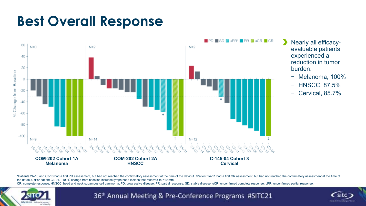### **Best Overall Response**



• Nearly all efficacyevaluable patients experienced a reduction in tumor burden:

- − Melanoma, 100%
- − HNSCC, 87.5%
- − Cervical, 85.7%

\*Patients 2A-16 and C3-13 had a first PR assessment, but had not reached the confirmatory assessment at the time of the datacut. \*Patient 2A-11 had a first CR assessment, but had not reached the confirmatory assessment at the datacut. <sup>‡</sup>For patient C3-04, -100% change from baseline includes lymph node lesions that resolved to <10 mm. CR, complete response; HNSCC, head and neck squamous cell carcinoma; PD, progressive disease; PR, partial response; SD, stable disease; uCR, unconfirmed complete response; uPR, unconfirmed partial response.



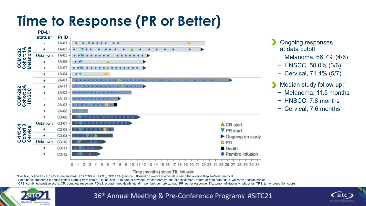### **Time to Response (PR or Better)**



#### Time (months) since TIL Infusion

\*Positive, defined as TPS ≥5% (melanoma), CPS ≥20% (HNSCC), CPS ≥1% (cervical). †Based on overall survival data using the reverse Kaplan-Meier method. Each bar is presented for each patient starting from date of TIL infusion up to date of new anti-cancer therapy, end of assessment, death, or data cutoff date, whichever occurs earlier CPS, combined positive score; CR, complete response; PD-L1, programmed death ligand-1; pembro, pembrolizumab; PR, partial response; TIL, tumor-infiltrating lymphocytes; TPS, tumor proportion score.



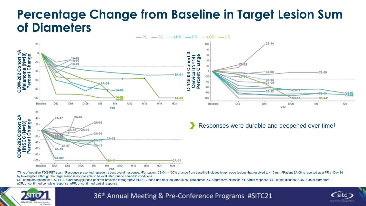#### **Percentage Change from Baseline in Target Lesion Sum of Diameters**



\*Time of negative FDG-PET scan. \*Response presented represents best overall response. \*For patient C3-04, -100% change from baseline includes lymph node lesions that resolved to <10 mm. <sup>\$</sup>Patient 2A-08 is reported as a PR by Investigator although the target lesion is not possible to be evaluated due to comorbid conditions.

CR, complete response; FDG-PET, fluorodeoxyglucose-positron emission tomography; HNSCC, head and neck squamous cell carcinoma; PD, progressive disease; PR, partial response; SD, stable disease; SOD, sum of diameters; uCR, unconfirmed complete response; uPR, unconfirmed partial response.



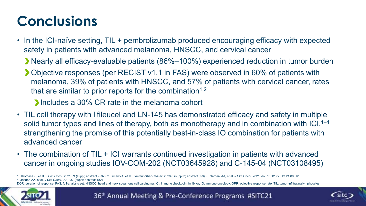# **Conclusions**

- In the ICI-naïve setting, TIL + pembrolizumab produced encouraging efficacy with expected safety in patients with advanced melanoma, HNSCC, and cervical cancer
	- Nearly all efficacy-evaluable patients (86%–100%) experienced reduction in tumor burden
	- Objective responses (per RECIST v1.1 in FAS) were observed in 60% of patients with melanoma, 39% of patients with HNSCC, and 57% of patients with cervical cancer, rates that are similar to prior reports for the combination<sup> $1,2$ </sup>

**Includes a 30% CR rate in the melanoma cohort** 

- TIL cell therapy with lifileucel and LN-145 has demonstrated efficacy and safety in multiple solid tumor types and lines of therapy, both as monotherapy and in combination with  $|Cl,^{1-4}$ strengthening the promise of this potentially best-in-class IO combination for patients with advanced cancer
- The combination of TIL + ICI warrants continued investigation in patients with advanced cancer in ongoing studies IOV-COM-202 (NCT03645928) and C-145-04 (NCT03108495)

1. Thomas SS, et al. J Clin Oncol. 2021;39 (suppl; abstract 9537). 2. Jimeno A, et al. J Immunother Cancer. 2020;8 (suppl 3; abstract 353). 3. Sarnaik AA, et al. J Clin Oncol. 2021; doi: 10.1200/JCO.21.00612. 4. Jazaeri AA, et al. *J Clin Oncol*. 2019;37 (suppl; abstract 182).

DOR, duration of response; FAS, full-analysis set; HNSCC, head and neck squamous cell carcinoma; ICI, immune checkpoint inhibitor; IO, immuno-oncology; ORR, objective response rate; TIL, tumor-infiltrating lymphocytes.